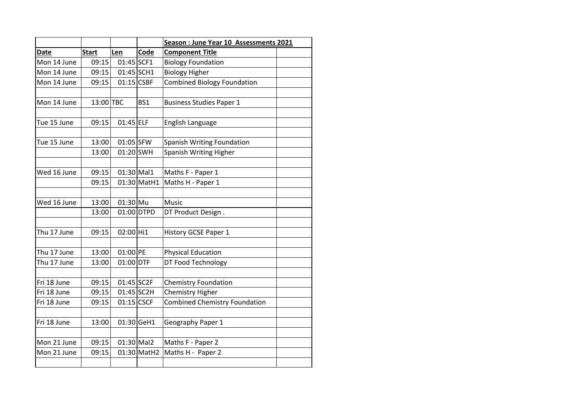|             |              |              |             | Season : June Year 10 Assessments 2021 |  |
|-------------|--------------|--------------|-------------|----------------------------------------|--|
| <b>Date</b> | <b>Start</b> | Len          | Code        | <b>Component Title</b>                 |  |
| Mon 14 June | 09:15        | $01:45$ SCF1 |             | <b>Biology Foundation</b>              |  |
| Mon 14 June | 09:15        | 01:45 SCH1   |             | <b>Biology Higher</b>                  |  |
| Mon 14 June | 09:15        | $01:15$ CSBF |             | <b>Combined Biology Foundation</b>     |  |
|             |              |              |             |                                        |  |
| Mon 14 June | 13:00 TBC    |              | BS1         | <b>Business Studies Paper 1</b>        |  |
|             |              |              |             |                                        |  |
| Tue 15 June | 09:15        | $01:45$ ELF  |             | English Language                       |  |
|             |              |              |             |                                        |  |
| Tue 15 June | 13:00        | 01:05 SFW    |             | Spanish Writing Foundation             |  |
|             | 13:00        | 01:20 SWH    |             | Spanish Writing Higher                 |  |
|             |              |              |             |                                        |  |
| Wed 16 June | 09:15        | $01:30$ Mal1 |             | Maths F - Paper 1                      |  |
|             | 09:15        |              | 01:30 MatH1 | Maths H - Paper 1                      |  |
|             |              |              |             |                                        |  |
| Wed 16 June | 13:00        | $01:30$ Mu   |             | Music                                  |  |
|             | 13:00        |              | 01:00 DTPD  | DT Product Design.                     |  |
|             |              |              |             |                                        |  |
| Thu 17 June | 09:15        | 02:00 Hi1    |             | History GCSE Paper 1                   |  |
|             |              |              |             |                                        |  |
| Thu 17 June | 13:00        | 01:00 PE     |             | <b>Physical Education</b>              |  |
| Thu 17 June | 13:00        | 01:00 DTF    |             | DT Food Technology                     |  |
|             |              |              |             |                                        |  |
| Fri 18 June | 09:15        | 01:45 SC2F   |             | <b>Chemistry Foundation</b>            |  |
| Fri 18 June | 09:15        | $01:45$ SC2H |             | Chemistry Higher                       |  |
| Fri 18 June | 09:15        | $01:15$ CSCF |             | <b>Combined Chemistry Foundation</b>   |  |
|             |              |              |             |                                        |  |
| Fri 18 June | 13:00        |              | 01:30 GeH1  | Geography Paper 1                      |  |
|             |              |              |             |                                        |  |
| Mon 21 June | 09:15        | $01:30$ Mal2 |             | Maths F - Paper 2                      |  |
| Mon 21 June | 09:15        |              | 01:30 MatH2 | Maths H - Paper 2                      |  |
|             |              |              |             |                                        |  |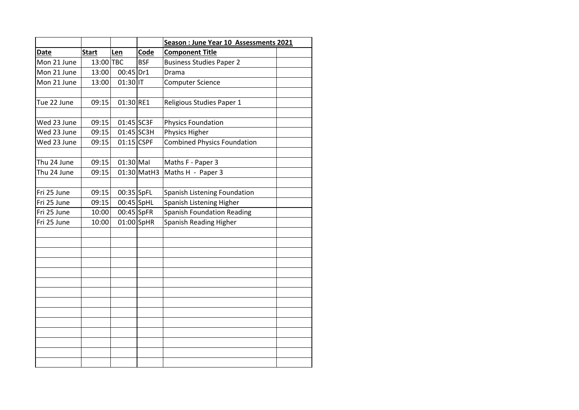|             |              |              |             | Season : June Year 10 Assessments 2021 |  |
|-------------|--------------|--------------|-------------|----------------------------------------|--|
| <b>Date</b> | <b>Start</b> | Len          | Code        | <b>Component Title</b>                 |  |
| Mon 21 June | 13:00 TBC    |              | <b>BSF</b>  | <b>Business Studies Paper 2</b>        |  |
| Mon 21 June | 13:00        | $00:45$ Dr1  |             | Drama                                  |  |
| Mon 21 June | 13:00        | $01:30$ IT   |             | <b>Computer Science</b>                |  |
|             |              |              |             |                                        |  |
| Tue 22 June | 09:15        | 01:30 RE1    |             | Religious Studies Paper 1              |  |
|             |              |              |             |                                        |  |
| Wed 23 June | 09:15        | $01:45$ SC3F |             | <b>Physics Foundation</b>              |  |
| Wed 23 June | 09:15        | $01:45$ SC3H |             | Physics Higher                         |  |
| Wed 23 June | 09:15        | $01:15$ CSPF |             | <b>Combined Physics Foundation</b>     |  |
|             |              |              |             |                                        |  |
| Thu 24 June | 09:15        | $01:30$ Mal  |             | Maths F - Paper 3                      |  |
| Thu 24 June | 09:15        |              | 01:30 MatH3 | Maths H - Paper 3                      |  |
|             |              |              |             |                                        |  |
| Fri 25 June | 09:15        | 00:35 SpFL   |             | Spanish Listening Foundation           |  |
| Fri 25 June | 09:15        | 00:45 SpHL   |             | Spanish Listening Higher               |  |
| Fri 25 June | 10:00        | $00:45$ SpFR |             | <b>Spanish Foundation Reading</b>      |  |
| Fri 25 June | 10:00        | $01:00$ SpHR |             | Spanish Reading Higher                 |  |
|             |              |              |             |                                        |  |
|             |              |              |             |                                        |  |
|             |              |              |             |                                        |  |
|             |              |              |             |                                        |  |
|             |              |              |             |                                        |  |
|             |              |              |             |                                        |  |
|             |              |              |             |                                        |  |
|             |              |              |             |                                        |  |
|             |              |              |             |                                        |  |
|             |              |              |             |                                        |  |
|             |              |              |             |                                        |  |
|             |              |              |             |                                        |  |
|             |              |              |             |                                        |  |
|             |              |              |             |                                        |  |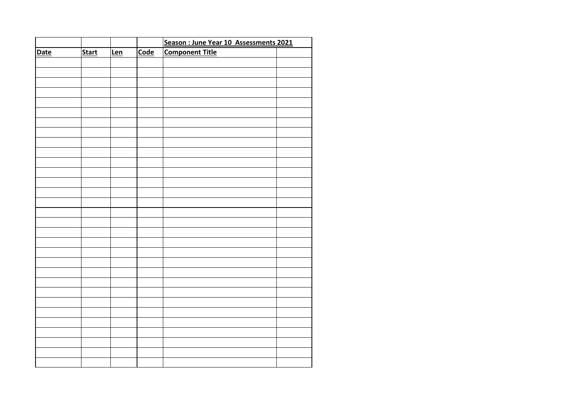|             |              |     |             | Season : June Year 10 Assessments 2021 |  |
|-------------|--------------|-----|-------------|----------------------------------------|--|
| <b>Date</b> | <b>Start</b> | Len | <b>Code</b> | <b>Component Title</b>                 |  |
|             |              |     |             |                                        |  |
|             |              |     |             |                                        |  |
|             |              |     |             |                                        |  |
|             |              |     |             |                                        |  |
|             |              |     |             |                                        |  |
|             |              |     |             |                                        |  |
|             |              |     |             |                                        |  |
|             |              |     |             |                                        |  |
|             |              |     |             |                                        |  |
|             |              |     |             |                                        |  |
|             |              |     |             |                                        |  |
|             |              |     |             |                                        |  |
|             |              |     |             |                                        |  |
|             |              |     |             |                                        |  |
|             |              |     |             |                                        |  |
|             |              |     |             |                                        |  |
|             |              |     |             |                                        |  |
|             |              |     |             |                                        |  |
|             |              |     |             |                                        |  |
|             |              |     |             |                                        |  |
|             |              |     |             |                                        |  |
|             |              |     |             |                                        |  |
|             |              |     |             |                                        |  |
|             |              |     |             |                                        |  |
|             |              |     |             |                                        |  |
|             |              |     |             |                                        |  |
|             |              |     |             |                                        |  |
|             |              |     |             |                                        |  |
|             |              |     |             |                                        |  |
|             |              |     |             |                                        |  |
|             |              |     |             |                                        |  |